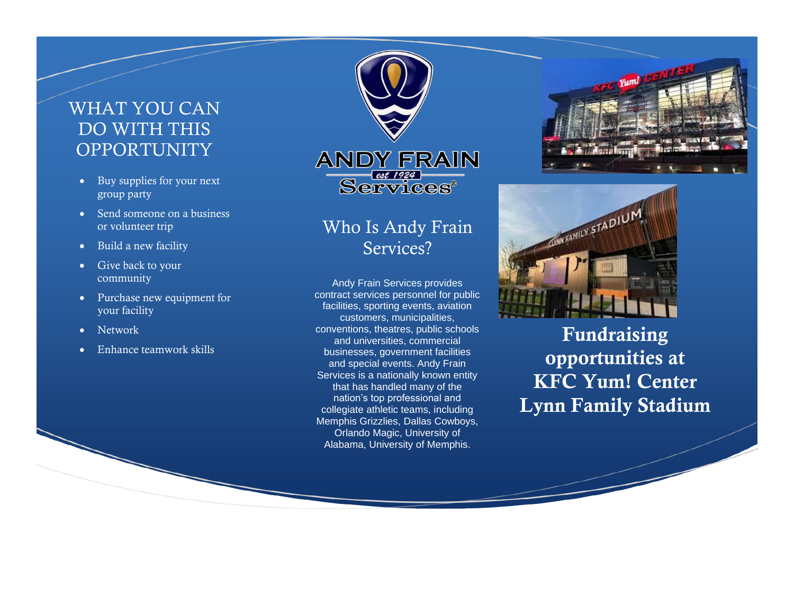## WHAT YOU CAN DO WITH THIS **OPPORTUNITY**

- Buy supplies for your next group party
- Send someone on a business or volunteer trip
- Build a new facility
- Give back to your community
- Purchase new equipment for your facility
- Network
- Enhance teamwork skills





Andy Frain Services provides contract services personnel for public facilities, sporting events, aviation customers, municipalities, conventions, theatres, public schools and universities, commercial businesses, government facilities and special events. Andy Frain Services is a nationally known entity that has handled many of the nation's top professional and collegiate athletic teams, including Memphis Grizzlies, Dallas Cowboys, Orlando Magic, University of Alabama, University of Memphis.





Fundraising opportunities at KFC Yum! Center Lynn Family Stadium